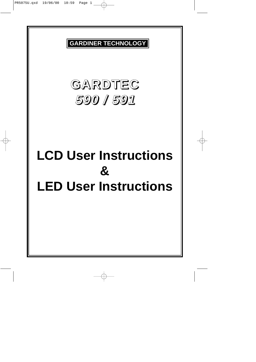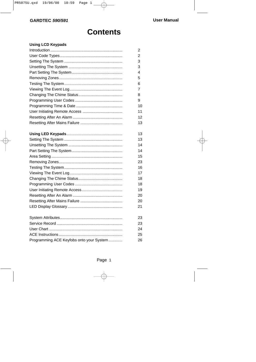## **Contents**

#### **Using LCD Keypads**

|                                          | 2  |
|------------------------------------------|----|
|                                          | 2  |
|                                          | 3  |
|                                          | 3  |
|                                          | 4  |
|                                          | 5  |
|                                          | 6  |
|                                          | 7  |
|                                          | 8  |
|                                          | 9  |
|                                          | 10 |
|                                          | 11 |
|                                          | 12 |
|                                          | 13 |
|                                          | 13 |
|                                          | 13 |
|                                          | 14 |
|                                          | 14 |
|                                          | 15 |
|                                          | 23 |
|                                          | 16 |
|                                          | 17 |
|                                          | 18 |
|                                          | 18 |
|                                          | 19 |
|                                          | 20 |
|                                          | 20 |
|                                          | 21 |
|                                          | 23 |
|                                          | 23 |
|                                          | 24 |
|                                          | 25 |
| Programming ACE Keyfobs onto your System | 26 |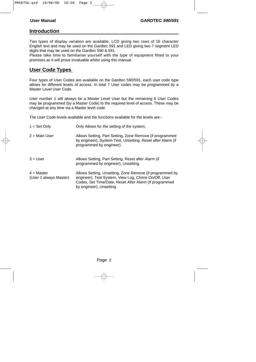#### **Introduction**

Two types of display variation are available, LCD giving two rows of 16 character English text and may be used on the Gardtec 591 and LED giving two 7 segment LED digits that may be used on the Gardtec 590 & 591.

Please take time to familiarise yourself with the type of equipment fitted to your premises as it will prove invaluable whilst using this manual.

#### **User Code Types**

Four types of User Codes are available on the Gardtec 590/591, each user code type allows for different levels of access. In total 7 User codes may be programmed by a Master Level User Code.

User number 1 will always be a Master Level User but the remaining 6 User Codes may be programmed (by a Master Code) to the required level of access. These may be changed at any time via a Master level code

The User Code levels available and the functions available for the levels are:-

| $1 = Set Only$                         | Only Allows for the setting of the system.                                                                                                                                                             |
|----------------------------------------|--------------------------------------------------------------------------------------------------------------------------------------------------------------------------------------------------------|
| $2 =$ Main User                        | Allows Setting, Part Setting, Zone Remove (if programmed<br>by engineer), System Test, Unsetting, Reset after Alarm (if<br>programmed by engineer).                                                    |
| $3 = User$                             | Allows Setting, Part Setting, Reset after Alarm (if<br>programmed by engineer), Unsetting.                                                                                                             |
| $4 = Master$<br>(User 1 always Master) | Allows Setting, Unsetting, Zone Remove (if programmed by<br>engineer), Test System, View Log, Chime On/Off, User<br>Codes, Set Time/Date, Reset After Alarm (if programmed<br>by engineer), Unsetting. |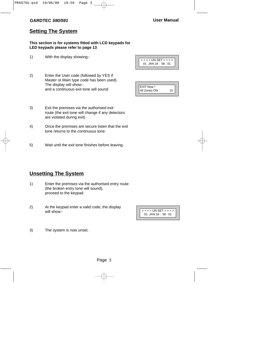#### **Setting The System**

#### **This section is for systems fitted with LCD keypads for LED keypads please refer to page 13**

- 1) With the display showing:-
- 2) Enter the User code (followed by YES if Master or Main type code has been used). The display will show: and a continuous exit tone will sound



| <b>EXIT Now!</b> |    |
|------------------|----|
| All Zones ON     | 15 |
|                  |    |

- 3) Exit the premises via the authorised exit route (the exit tone will change if any detectors are violated during exit)
- 4) Once the premises are secure listen that the exit tone returns to the continuous tone.
- 5) Wait until the exit tone finishes before leaving.

### **Unsetting The System**

- 1) Enter the premises via the authorised entry route (the broken entry tone will sound), proceed to the keypad.
- 2) At the keypad enter a valid code, the display will show:-



3) The system is now unset.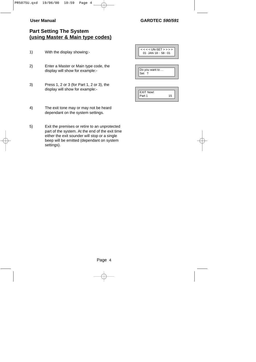#### **User Manual GARDTEC 590/591**

## **Part Setting The System (using Master & Main type codes)**

- 1) With the display showing:-
- 2) Enter a Master or Main type code, the display will show for example:-
- 3) Press 1, 2 or 3 (for Part 1, 2 or 3), the display will show for example:-

< < < < UN-SET > > > > 01 JAN 18 : 58 : 01

|     | Do you want to |  |
|-----|----------------|--|
| Set |                |  |
|     |                |  |

| <b>LEXIT Now!</b> |    |
|-------------------|----|
| Part 1            | 15 |

- 4) The exit tone may or may not be heard dependant on the system settings.
- 5) Exit the premises or retire to an unprotected part of the system. At the end of the exit time either the exit sounder will stop or a single beep will be emitted (dependant on system settings).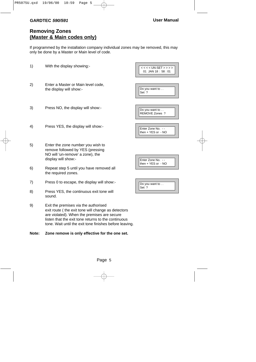### **Removing Zones (Master & Main codes only)**

If programmed by the installation company individual zones may be removed, this may only be done by a Master or Main level of code.

| 1)    | With the display showing:-                                                                                                                                                                                                                                  | $<<$ < < UN-SET > > > ><br>01 JAN 18: 58:01 |
|-------|-------------------------------------------------------------------------------------------------------------------------------------------------------------------------------------------------------------------------------------------------------------|---------------------------------------------|
| 2)    | Enter a Master or Main level code,<br>the display will show:-                                                                                                                                                                                               | Do you want to<br>Set?                      |
| 3)    | Press NO, the display will show:-                                                                                                                                                                                                                           | Do you want to<br>REMOVE Zones ?            |
| 4)    | Press YES, the display will show:-                                                                                                                                                                                                                          | Enter Zone No. - -<br>then + YES or - NO    |
| 5)    | Enter the zone number you wish to<br>remove followed by YES (pressing<br>NO will 'un-remove' a zone), the<br>display will show:-                                                                                                                            | Enter Zone No. - -<br>then + YES or - NO    |
| 6)    | Repeat step 5 until you have removed all<br>the required zones.                                                                                                                                                                                             |                                             |
| 7)    | Press 0 to escape, the display will show:-                                                                                                                                                                                                                  | Do you want to                              |
| 8)    | Press YES, the continuous exit tone will<br>sound.                                                                                                                                                                                                          | Set ?                                       |
| 9)    | Exit the premises via the authorised<br>exit route (the exit tone will change as detectors<br>are violated). When the premises are secure<br>listen that the exit tone returns to the continuous<br>tone. Wait until the exit tone finishes before leaving. |                                             |
| Note: | Zone remove is only effective for the one set.                                                                                                                                                                                                              |                                             |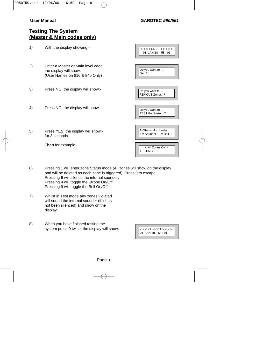#### **User Manual GARDTEC 590/591**

#### **Testing The System (Master & Main codes only)**

| 1) | With the display showing:-                                                                      | $<<$ < $<$ UN-SET > > > ><br>01 JAN 18:58:01          |
|----|-------------------------------------------------------------------------------------------------|-------------------------------------------------------|
| 2) | Enter a Master or Main level code,<br>the display will show:-<br>(User Names on 816 & 840 Only) | Do you want to<br>Set ?                               |
| 3) | Press NO, the display will show:-                                                               | Do you want to<br>REMOVE Zones ?                      |
| 4) | Press NO, the display will show:-                                                               | Do you want to<br>TEST the System?                    |
| 5) | Press YES, the display will show:-<br>for 3 seconds                                             | $1 =$ Status $4 =$ Strobe<br>$6 =$ Sounder $9 =$ Bell |
|    | <b>Then</b> for example:-                                                                       | < All Zones OK ><br>TESTING                           |

- 6) Pressing 1 will enter zone Status mode (All zones will show on the display and will be deleted as each zone is triggered). Press 0 to escape. Pressing 6 will silence the internal sounder, Pressing 4 will toggle the Strobe On/Off, Pressing 9 will toggle the Bell On/Off
- 7) Whilst in Test mode any zones violated will sound the internal sounder (if it has not been silenced) and show on the display.
- 8) When you have finished testing the system press 0 twice, the display will show:-

| $\begin{cases} < \, < \, <$ UN-SET > > > > + 01 JAN 18 : 58 : 01 |
|------------------------------------------------------------------|
|                                                                  |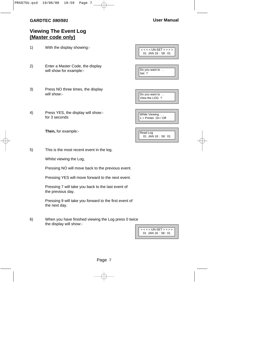## **Viewing The Event Log (Master code only)**

| 1) | With the display showing:-                                  | $<<$ < $<$ UN-SET > > > ><br>01 JAN 18: 58:01 |
|----|-------------------------------------------------------------|-----------------------------------------------|
| 2) | Enter a Master Code, the display<br>will show for example:- | Do you want to<br>Set ?                       |
| 3) | Press NO three times, the display<br>will show:-            | Do you want to<br>View the LOG ?              |
| 4) | Press YES, the display will show:-<br>for 3 seconds         | While Viewing<br>$1 =$ Printer On / Off       |
|    | Then, for example:-                                         | Read Log<br>01 JAN 18:58:01                   |
| 5) | This is the most recent event in the log.                   |                                               |
|    | Whilst viewing the Log,                                     |                                               |

Pressing NO will move back to the previous event.

Pressing YES will move forward to the next event.

Pressing 7 will take you back to the last event of the previous day.

Pressing 9 will take you forward to the first event of the next day.

6) When you have finished viewing the Log press 0 twice the display will show:-

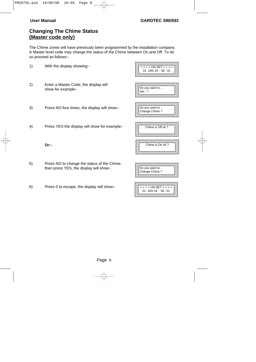## **Changing The Chime Status (Master code only)**

The Chime zones will have previously been programmed by the installation company. A Master level code may change the status of the Chime between On and Off. To do so proceed as follows:-

| 1) | With the display showing:-                                                             | $<<$ < < UN-SET > > > ><br>01 JAN 18: 58:01   |
|----|----------------------------------------------------------------------------------------|-----------------------------------------------|
| 2) | Enter a Master Code, the display will<br>show for example:-                            | Do you want to<br>Set.?                       |
| 3) | Press NO four times, the display will show:-                                           | Do you want to<br>Change Chime?               |
| 4) | Press YES the display will show for example:-                                          | Chime is Off ok?                              |
|    | Or:-                                                                                   | Chime is On ok?                               |
| 5) | Press NO to change the status of the Chime,<br>then press YES, the display will show:- | Do you want to<br>Change Chime?               |
| 6) | Press 0 to escape, the display will show:-                                             | $<<$ < $<$ UN-SET > > > ><br>01 JAN 18: 58:01 |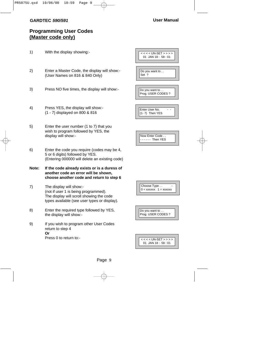## **Programming User Codes (Master code only)**

1) With the display showing:- 2) Enter a Master Code, the display will show:- (User Names on 816 & 840 Only) 3) Press NO five times, the display will show:- 4) Press YES, the display will show:- (1 - 7) displayed on 800 & 816 5) Enter the user number (1 to 7) that you wish to program followed by YES, the display will show:- 6) Enter the code you require (codes may be 4, 5 or 6 digits) followed by YES. (Entering 000000 will delete an existing code) **Note: If the code already exists or is a duress of another code an error will be shown, choose another code and return to step 6** 7) The display will show:- (not if user 1 is being programmed). The display will scroll showing the code types available (see user types or display). 8) Enter the required type followed by YES, the display will show:- 9) If you wish to program other User Codes return to step 4 **Or** Press 0 to return to -< < < < UN-SET > > > > 01 JAN 18 : 58 : 01 Do you want to . . Set ? Do you want to . . Prog. USER CODES ? Enter User No. (1- 7) Then YES Now Enter Code . . - - - - - - Then YES Choose Type . .  $0 =$  xxxxxx  $1 =$  xxxxxx Do you want to . . Prog. USER CODES ? < < < < UN-SET > > > > 01 JAN 18 : 58 : 01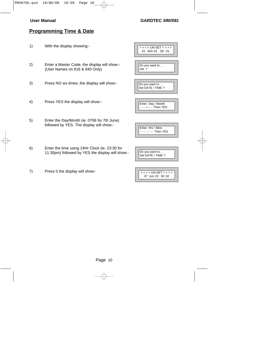#### **User Manual GARDTEC 590/591**

### **Programming Time & Date**

- 1) With the display showing:-
- 2) Enter a Master Code, the display will show:- (User Names on 816 & 840 Only)
- 3) Press NO six times, the display will show:-
- 4) Press YES the display will show:-
- 5) Enter the Day/Month (ie. 0706 for 7th June) followed by YES. The display will show:-
- 6) Enter the time using 24Hr Clock (ie. 23:30 for 11:30pm) followed by YES the display will show:-
- 7) Press 0 the display will show:-

| $<<$ << UN-SET > > > ><br>01 JAN 18: 58:01 |
|--------------------------------------------|
|                                            |
| Do you want to<br>Set ?                    |
|                                            |
| Do you want to<br>Set DATE / TIME ?        |
|                                            |
| Enter Day / Month<br>- -- / -- -- Then YES |
|                                            |
|                                            |
| Enter Hrs / Mins<br>-- Then YES            |
|                                            |



| $<<$ < $<$ UN-SET > > > > |
|---------------------------|
| $07$ Jun $23:30:02$       |
|                           |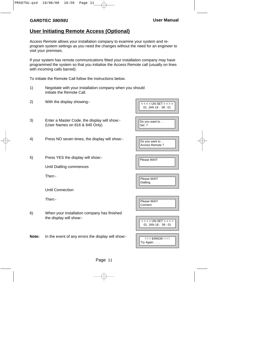#### **User Initiating Remote Access (Optional)**

Access Remote allows your installation company to examine your system and reprogram system settings as you need the changes without the need for an engineer to visit your premises.

If your system has remote communications fitted your installation company may have programmed the system so that you initialise the Access Remote call (usually on lines with incoming calls barred).

To initiate the Remote Call follow the instructions below.

- 1) Negotiate with your installation company when you should initiate the Remote Call.
- 2) With the display showing:-
- 3) Enter a Master Code, the display will show:- (User Names on 816 & 840 Only)
- 4) Press NO seven times, the display will show:-
- 5) Press YES the display will show:-

Until Dialling commences

Then:-

Until Connection

Then:-

6) When your installation company has finished the display will show:-

**Note:** In the event of any errors the display will show:-

| < < < < UN-SET > > > ><br>01 JAN 18: 58:01 |
|--------------------------------------------|
|                                            |
| Do you want to<br>Set ?                    |
|                                            |
|                                            |
|                                            |
| Do you want to                             |
| Access Remote?                             |
|                                            |
|                                            |

| Please WAIT |  |
|-------------|--|

Please WAIT

Dialling

| l Please WAIT |  |
|---------------|--|
| Connect       |  |
|               |  |

| $<<$ < < UN-SET > > > >            |
|------------------------------------|
| $01$ .IAN 18 $\cdot$ 58 $\cdot$ 01 |
|                                    |

| <u>!!!! ERROR !!!!</u>        |
|-------------------------------|
| $\mathsf{Try}$ Again $\ldots$ |
|                               |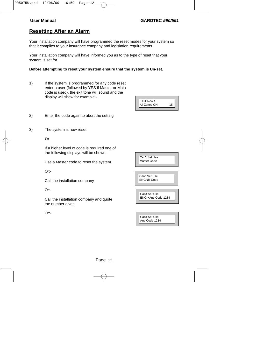#### **Resetting After an Alarm**

Your installation company will have programmed the reset modes for your system so that it complies to your insurance company and legislation requirements.

Your installation company will have informed you as to the type of reset that your system is set for.

#### **Before attempting to reset your system ensure that the system is Un-set.**

- 1) If the system is programmed for any code reset enter a user (followed by YES if Master or Main code is used), the exit tone will sound and the display will show for example:-
- 2) Enter the code again to abort the setting
- 3) The system is now reset

#### **Or**

If a higher level of code is required one of the following displays will be shown:-

Use a Master code to reset the system.

Or:-

Call the installation company

Or:-

Call the installation company and quote the number given

Or:-

| All Zones ON |
|--------------|
|--------------|

| Can't Set Use     |
|-------------------|
| Master Code       |
|                   |
|                   |
|                   |
| Can't Set Use     |
| <b>ENGNR Code</b> |
|                   |
|                   |
|                   |
| Can't Set Use     |

| Can't Set Use  |
|----------------|
| Anti Code 1234 |
|                |

ENG +Anti Code 1234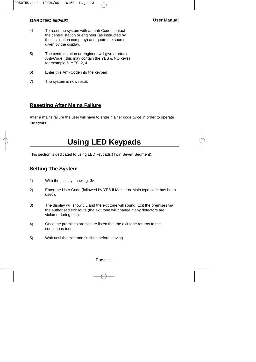- 4) To reset the system with an anti-Code, contact the central station or engineer (as instructed by the installation company) and quote the source given by the display.
- 5) The central station or engineer will give a return Anti-Code ( this may contain the YES & NO keys) for example 5, YES, 2, 4.
- 6) Enter this Anti-Code into the keypad
- 7) The system is now reset.

#### **Resetting After Mains Failure**

After a mains failure the user will have to enter his/her code twice in order to operate the system.

## **Using LED Keypads**

This section is dedicated to using LED keypads (Twin Seven Segment).

#### **Setting The System**

- 1) With the display showing  $\mathbf{u} \cdot \mathbf{n}$
- 2) Enter the User Code (followed by YES if Master or Main type code has been used).
- 3) The display will show  $\mathbf{E}$  = and the exit tone will sound. Exit the premises via the authorised exit route (the exit tone will change if any detectors are violated during exit).
- 4) Once the premises are secure listen that the exit tone returns to the continuous tone.
- 5) Wait until the exit tone finishes before leaving.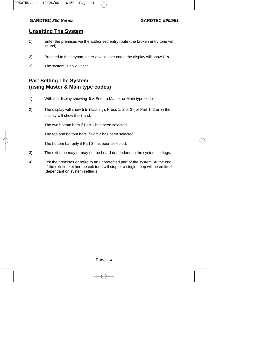#### **Unsetting The System**

- 1) Enter the premises via the authorised entry route (the broken entry tone will sound).
- 2) Proceed to the keypad, enter a valid user code, the display will show  $\boldsymbol{\textsf{U}} \cdot \boldsymbol{\kappa}$
- 3) The system is now Unset.

## **Part Setting The System (using Master & Main type codes)**

- 1) With the display showing  $\boldsymbol{\mathsf{U}} \cdot \boldsymbol{\mathsf{F}}$  Enter a Master or Main type code
- 2) The display will show **5 E** (flashing). Press 1, 2 or 3 (for Part 1, 2 or 3) the display will show the E and:-

The two bottom bars if Part 1 has been selected

The top and bottom bars if Part 2 has been selected

The bottom bar only if Part 3 has been selected.

- 3) The exit tone may or may not be heard dependant on the system settings.
- 4) Exit the premises or retire to an unprotected part of the system. At the end of the exit time either the exit tone will stop or a single beep will be emitted (dependant on system settings).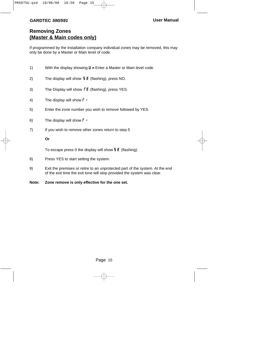#### **GARDTEC 590/591**

#### **Removing Zones (Master & Main codes only)**

If programmed by the installation company individual zones may be removed, this may only be done by a Master or Main level of code.

- 1) With the display showing  $U \cap$  Enter a Master or Main level code.
- 2) The display will show  $5E$  (flashing), press NO.
- 3) The Display will show  $\mathsf{FE}$  (flashing), press YES.
- 4) The display will show  $\Gamma$  -
- 5) Enter the zone number you wish to remove followed by YES.
- 6) The display will show  $\Gamma$  -
- 7) If you wish to remove other zones return to step 5

#### **Or**

To escape press 0 the display will show  $5E$  (flashing).

- 8) Press YES to start setting the system.
- 9) Exit the premises or retire to an unprotected part of the system. At the end of the exit time the exit tone will stop provided the system was clear.
- **Note: Zone remove is only effective for the one set.**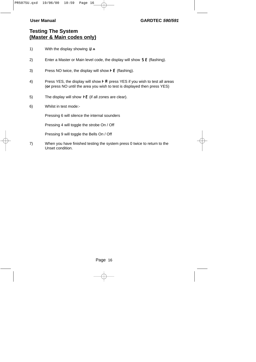#### **User Manual GARDTEC 590/591**

#### **Testing The System (Master & Main codes only)**

- 1) With the display showing  $\boldsymbol{\mu}$   $\boldsymbol{\eta}$
- 2) Enter a Master or Main level code, the display will show  $5E$  (flashing).
- 3) Press NO twice, the display will show  $\mathbf{F}$  E (flashing).
- 4) Press YES, the display will show  $\mathbf F \mathbf F$  press YES if you wish to test all areas (**or** press NO until the area you wish to test is displayed then press YES)
- 5) The display will show  $\overline{F}$  (if all zones are clear).
- 6) Whilst in test mode:-

Pressing 6 will silence the internal sounders

Pressing 4 will toggle the strobe On / Off

Pressing 9 will toggle the Bells On / Off

7) When you have finished testing the system press 0 twice to return to the Unset condition.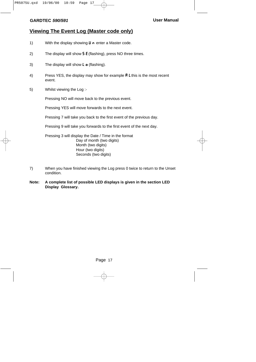#### **Viewing The Event Log (Master code only)**

- 1) With the display showing  $\mathbf{U} \cdot \mathbf{n}$  enter a Master code.
- 2) The display will show  $5 \text{ E}$  (flashing), press NO three times.
- 3) The display will show  $\mathsf{L} \cdot \mathsf{d}$  (flashing).
- 4) Press YES, the display may show for example  $\boldsymbol{\mathsf{R}}$  L this is the most recent event.
- 5) Whilst viewing the Log :-

Pressing NO will move back to the previous event.

Pressing YES will move forwards to the next event.

Pressing 7 will take you back to the first event of the previous day.

Pressing 9 will take you forwards to the first event of the next day.

Pressing 3 will display the Date / Time in the format Day of month (two digits) Month (two digits) Hour (two digits) Seconds (two digits)

- 7) When you have finished viewing the Log press 0 twice to return to the Unset condition.
- **Note: A complete list of possible LED displays is given in the section LED Display Glossary.**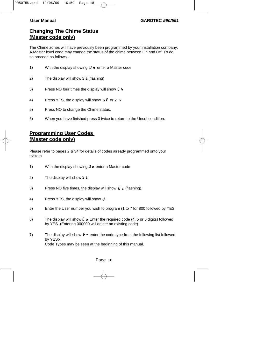#### **Changing The Chime Status (Master code only)**

The Chime zones will have previously been programmed by your installation company. A Master level code may change the status of the chime between On and Off. To do so proceed as follows:-

| 1) | With the display showing $\boldsymbol{\mathsf{U}} \cdot \boldsymbol{\mathsf{n}}$ enter a Master code                   |
|----|------------------------------------------------------------------------------------------------------------------------|
| 2) | The display will show $5E$ (flashing)                                                                                  |
| 3) | Press NO four times the display will show [h]                                                                          |
| 4) | Press YES, the display will show $\boldsymbol{\alpha} \boldsymbol{\beta}$ or $\boldsymbol{\alpha} \boldsymbol{\gamma}$ |
| 5) | Press NO to change the Chime status.                                                                                   |

6) When you have finished press 0 twice to return to the Unset condition.

## **Programming User Codes (Master code only)**

Please refer to pages 2 & 34 for details of codes already programmed onto your system.

- 1) With the display showing  $U \subset \mathbb{C}$  enter a Master code
- 2) The display will show  $5E$
- 3) Press NO five times, the display will show  $\boldsymbol{\mathsf{U}}$  c (flashing).
- 4) Press YES, the display will show  $\mathbf{U}$  -
- 5) Enter the User number you wish to program (1 to 7 for 800 followed by YES
- 6) The display will show  $\mathbf{L} \bullet \mathbf{E}$  Enter the required code (4, 5 or 6 digits) followed by YES. (Entering 000000 will delete an existing code).
- 7) The display will show  $\mathbf{F}$  enter the code type from the following list followed by YES:- Code Types may be seen at the beginning of this manual.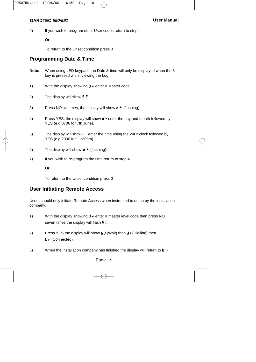9) If you wish to program other User codes return to step 4

**Or**

To return to the Unset condition press 0

#### **Programming Date & Time**

- **Note:** When using LED keypads the Date & time will only be displayed when the 3 key is pressed whilst viewing the Log.
- 1) With the display showing  $\boldsymbol{\mu}$  n enter a Master code
- 2) The display will show  $5E$
- 3) Press NO six times, the display will show  $d \cdot f$  (flashing).
- 4) Press YES, the display will show  $d \cdot$  enter the day and month followed by YES (e.g 0706 for 7th June).
- 5) The display will show  $\mathbf{F}$  enter the time using the 24Hr clock followed by YES (e.g 2330 for 11:30pm).
- 6) The display will show  $d \vdash$  (flashing).
- 7) If you wish to re-program the time return to step 4

#### **Or**

To return to the Unset condition press 0

#### **User Initiating Remote Access**

Users should only initiate Remote Access when instructed to do so by the installation company.

- 1) With the display showing  $\boldsymbol{\mathsf{U}}$  n enter a master level code then press NO seven times the display will flash  $\bf{R} \Gamma$ .
- 2) Press YES the display will show  $\mathbf{L} \mathbf{J}$  (Wait) then  $\mathbf{d} \mathbf{I}$  (Dialling) then  $\Gamma$  n (Connected).
- 3) When the installation company has finished the display will return to  $\mathbf{U} \cdot \mathbf{n}$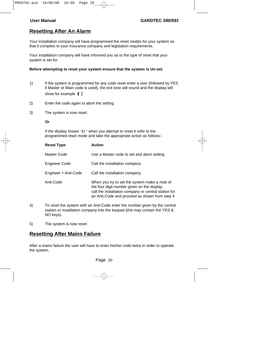#### **Resetting After An Alarm**

Your installation company will have programmed the reset modes for your system so that it complies to your insurance company and legislation requirements.

Your installation company will have informed you as to the type of reset that your system is set for.

#### **Before attempting to reset your system ensure that the system is Un-set.**

- 1) If the system is programmed for any code reset enter a user (followed by YES if Master or Main code is used), the exit tone will sound and the display will show for example  $E =$
- 2) Enter the code again to abort the setting.
- 3) The system is now reset.

#### **Or**

If the display shows ' Er ' when you attempt to reset it refer to the programmed reset mode and take the appropriate action as follows:-

| <b>Reset Type</b>    | <b>Action</b>                                                                                                                                                                                         |
|----------------------|-------------------------------------------------------------------------------------------------------------------------------------------------------------------------------------------------------|
| Master Code          | Use a Master code to set and abort setting                                                                                                                                                            |
| Engineer Code        | Call the installation company.                                                                                                                                                                        |
| Engineer + Anti-Code | Call the installation company.                                                                                                                                                                        |
| Anti-Code            | When you try to set the system make a note of<br>the four digit number given on the display,<br>call the installation company or central station for<br>an Anti-Code and proceed as shown from step 4 |

- 4) To reset the system with an Anti-Code enter the number given by the central station or installation company into the keypad (this may contain the YES & NO keys).
- 5) The system is now reset.

#### **Resetting After Mains Failure**

After a mains failure the user will have to enter his/her code twice in order to operate the system.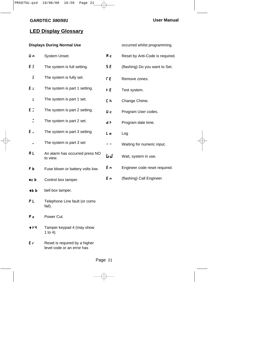### **LED Display Glossary**

#### **Displays During Normal Use**

| U n            | System Unset.                              | R <sub>c</sub> |
|----------------|--------------------------------------------|----------------|
| ΕΞ             | The system is full setting.                | 5 E            |
| Ξ              | The system is fully set.                   | r E            |
| Εz             | The system is part 1 setting.              | ΗE             |
| $\overline{a}$ | The system is part 1 set.                  | Eh             |
| ΕI             | The system is part 2 setting.              | U c            |
|                | The system is part 2 set.                  | d F            |
| Ε.             | The system is part 3 setting               | L o            |
|                | The system is part 3 set                   |                |
| RL             | An alarm has occurred press NO<br>to view. | LJ             |
| FЬ             | Fuse blown or battery volts low.           | Eп             |
| oc b           | Control box tamper.                        | Eп             |
| 0 <sub>b</sub> | bell box tamper.                           |                |
| ΡL             | Telephone Line fault (or coms<br>fail).    |                |
| Ρс             | Power Cut.                                 |                |
| o 14           | Tamper keypad 4 (may show<br>1 to 4).      |                |
|                |                                            |                |

| Er | Reset is required by a higher |
|----|-------------------------------|
|    | level code or an error has    |

occurred whilst programming.

- Reset by Anti-Code is required.
- (flashing) Do you want to Set.
- Remove zones.
- Test system.
	- Change Chime.
	- Program User codes.
- Program date time.
- Log
	- Waiting for numeric input.
	- Wait, system in use.
	- Engineer code reset required.
	- (flashing) Call Engineer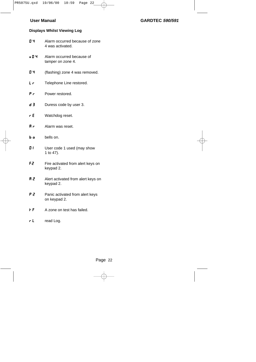#### **User Manual GARDTEC 590/591**

#### **Displays Whilst Viewing Log**

- 0 4 Alarm occurred because of zone 4 was activated.
- 0 4 Alarm occurred because of tamper on zone 4.
- **D 4** (flashing) zone 4 was removed.
- $LT$  Telephone Line restored.
- $P_r$  Power restored.
- $\overline{d}$  **3** Duress code by user 3.
- $r E$  Watchdog reset.
- $\mathbf{R} \cdot \mathbf{r}$  Alarm was reset.
- **b** o bells on.
- **0 1** User code 1 used (may show 1 to 47).
- F2 Fire activated from alert keys on keypad 2.
- **R 2** Alert activated from alert keys on keypad 2.
- **P 2** Panic activated from alert keys on keypad 2.
- $\overline{F}$  A zone on test has failed.
- $r L$  read Log.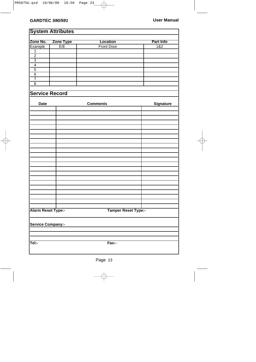**System Attributes**

## **Zone No. Zone Type Location Part Info** Example | E/E | Front Door | 1&2 1  $\overline{2}$ 3 4 5 6 7 8 **Service Record** Date **Comments** Signature **Alarm Reset Type:- Tamper Reset Type:- Service Company:- Tel:- Fax:-**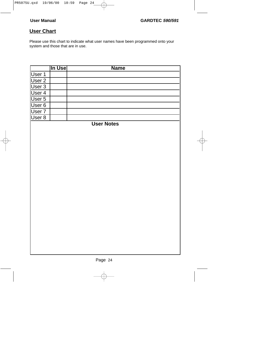## **User Chart**

Please use this chart to indicate what user names have been programmed onto your system and those that are in use.

|                            | In Use | <b>Name</b>       |
|----------------------------|--------|-------------------|
| User 1                     |        |                   |
| User 2                     |        |                   |
| $\overline{\text{User }3}$ |        |                   |
| User 4                     |        |                   |
| User 5                     |        |                   |
| User 6                     |        |                   |
| User $\overline{7}$        |        |                   |
| $User 8$                   |        |                   |
|                            |        | <b>User Notes</b> |
|                            |        |                   |
|                            |        |                   |
|                            |        |                   |
|                            |        |                   |
|                            |        |                   |
|                            |        |                   |
|                            |        |                   |
|                            |        |                   |
|                            |        |                   |
|                            |        |                   |
|                            |        |                   |
|                            |        |                   |
|                            |        |                   |
|                            |        |                   |
|                            |        |                   |
|                            |        |                   |
|                            |        |                   |
|                            |        |                   |
|                            |        |                   |
|                            |        |                   |
|                            |        |                   |
|                            |        |                   |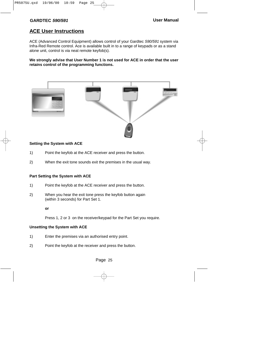#### **ACE User Instructions**

ACE (Advanced Control Equipment) allows control of your Gardtec 590/591 system via Infra-Red Remote control. Ace is available built in to a range of keypads or as a stand alone unit, control is via neat remote keyfob(s).

**We strongly advise that User Number 1 is not used for ACE in order that the user retains control of the programming functions.**



#### **Setting the System with ACE**

- 1) Point the keyfob at the ACE receiver and press the button.
- 2) When the exit tone sounds exit the premises in the usual way.

#### **Part Setting the System with ACE**

- 1) Point the keyfob at the ACE receiver and press the button.
- 2) When you hear the exit tone press the keyfob button again (within 3 seconds) for Part Set 1.

**or**

Press 1, 2 or 3 on the receiver/keypad for the Part Set you require.

#### **Unsetting the System with ACE**

- 1) Enter the premises via an authorised entry point.
- 2) Point the keyfob at the receiver and press the button.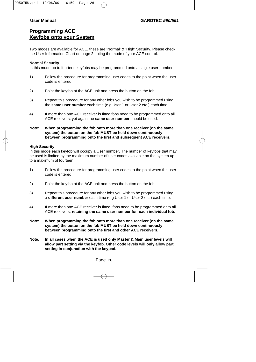#### **Programming ACE Keyfobs onto your System**

Two modes are available for ACE, these are 'Normal' & 'High' Security. Please check the User Information Chart on page 2 noting the mode of your ACE control.

#### **Normal Security**

In this mode up to fourteen keyfobs may be programmed onto a single user number

- 1) Follow the procedure for programming user codes to the point when the user code is entered.
- 2) Point the keyfob at the ACE unit and press the button on the fob.
- 3) Repeat this procedure for any other fobs you wish to be programmed using the **same user number** each time (e.g User 1 or User 2 etc.) each time.
- 4) If more than one ACE receiver is fitted fobs need to be programmed onto all ACE receivers, yet again the **same user number** should be used.

#### **Note: When programming the fob onto more than one receiver (on the same system) the button on the fob MUST be held down continuously between programming onto the first and subsequent ACE receivers.**

#### **High Security**

In this mode each keyfob will occupy a User number. The number of keyfobs that may be used is limited by the maximum number of user codes available on the system up to a maximum of fourteen.

- 1) Follow the procedure for programming user codes to the point when the user code is entered.
- 2) Point the keyfob at the ACE unit and press the button on the fob.
- 3) Repeat this procedure for any other fobs you wish to be programmed using a **different user number** each time (e.g User 1 or User 2 etc.) each time.
- 4) If more than one ACE receiver is fitted fobs need to be programmed onto all ACE receivers, **retaining the same user number for each individual fob**.
- **Note: When programming the fob onto more than one receiver (on the same system) the button on the fob MUST be held down continuously between programming onto the first and other ACE receivers.**
- **Note: In all cases when the ACE is used only Master & Main user levels will allow part setting via the keyfob. Other code levels will only allow part setting in conjunction with the keypad.**